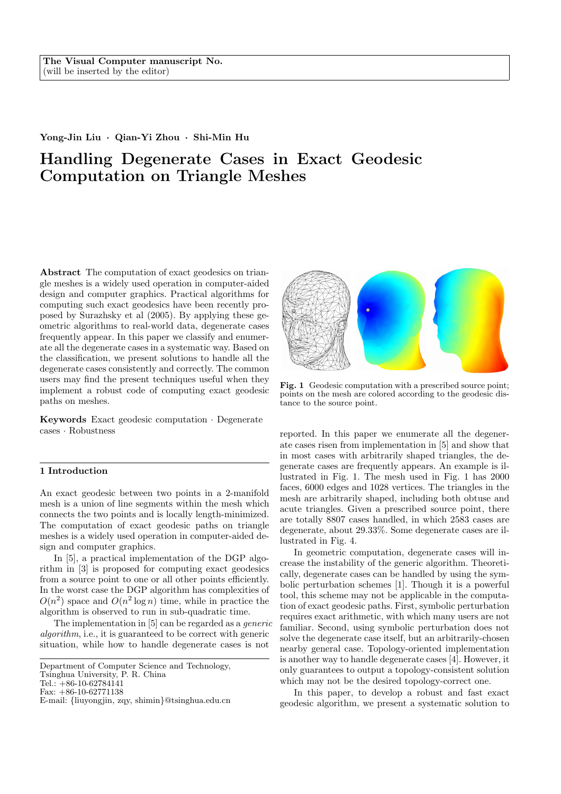## Yong-Jin Liu · Qian-Yi Zhou · Shi-Min Hu

# Handling Degenerate Cases in Exact Geodesic Computation on Triangle Meshes

Abstract The computation of exact geodesics on triangle meshes is a widely used operation in computer-aided design and computer graphics. Practical algorithms for computing such exact geodesics have been recently proposed by Surazhsky et al (2005). By applying these geometric algorithms to real-world data, degenerate cases frequently appear. In this paper we classify and enumerate all the degenerate cases in a systematic way. Based on the classification, we present solutions to handle all the degenerate cases consistently and correctly. The common users may find the present techniques useful when they implement a robust code of computing exact geodesic paths on meshes.

Keywords Exact geodesic computation · Degenerate cases · Robustness

# 1 Introduction

An exact geodesic between two points in a 2-manifold mesh is a union of line segments within the mesh which connects the two points and is locally length-minimized. The computation of exact geodesic paths on triangle meshes is a widely used operation in computer-aided design and computer graphics.

In [5], a practical implementation of the DGP algorithm in [3] is proposed for computing exact geodesics from a source point to one or all other points efficiently. In the worst case the DGP algorithm has complexities of  $O(n^2)$  space and  $O(n^2 \log n)$  time, while in practice the algorithm is observed to run in sub-quadratic time.

The implementation in [5] can be regarded as a generic algorithm, i.e., it is guaranteed to be correct with generic situation, while how to handle degenerate cases is not



Fig. 1 Geodesic computation with a prescribed source point; points on the mesh are colored according to the geodesic distance to the source point.

reported. In this paper we enumerate all the degenerate cases risen from implementation in [5] and show that in most cases with arbitrarily shaped triangles, the degenerate cases are frequently appears. An example is illustrated in Fig. 1. The mesh used in Fig. 1 has 2000 faces, 6000 edges and 1028 vertices. The triangles in the mesh are arbitrarily shaped, including both obtuse and acute triangles. Given a prescribed source point, there are totally 8807 cases handled, in which 2583 cases are degenerate, about 29.33%. Some degenerate cases are illustrated in Fig. 4.

In geometric computation, degenerate cases will increase the instability of the generic algorithm. Theoretically, degenerate cases can be handled by using the symbolic perturbation schemes [1]. Though it is a powerful tool, this scheme may not be applicable in the computation of exact geodesic paths. First, symbolic perturbation requires exact arithmetic, with which many users are not familiar. Second, using symbolic perturbation does not solve the degenerate case itself, but an arbitrarily-chosen nearby general case. Topology-oriented implementation is another way to handle degenerate cases [4]. However, it only guarantees to output a topology-consistent solution which may not be the desired topology-correct one.

In this paper, to develop a robust and fast exact geodesic algorithm, we present a systematic solution to

Department of Computer Science and Technology, Tsinghua University, P. R. China Tel.:  $+86-10-62784141$ Fax: +86-10-62771138

E-mail: {liuyongjin, zqy, shimin}@tsinghua.edu.cn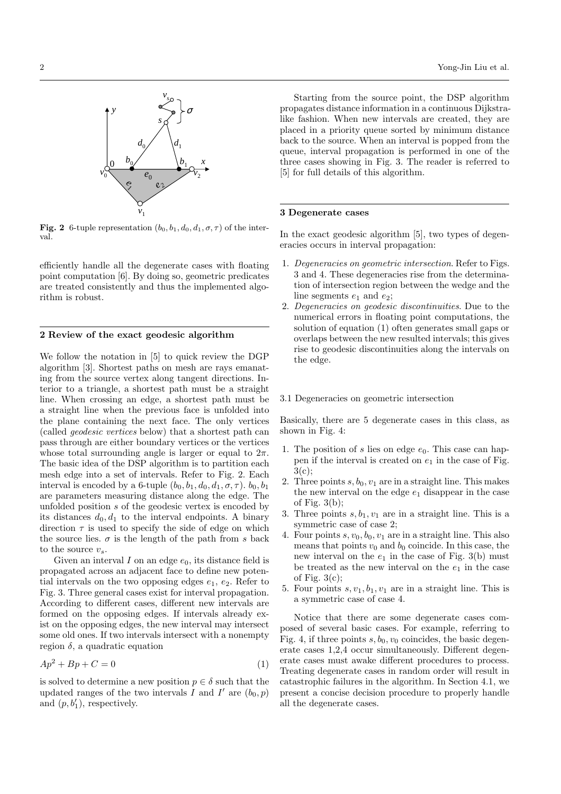

Fig. 2 6-tuple representation  $(b_0, b_1, d_0, d_1, \sigma, \tau)$  of the interval.

efficiently handle all the degenerate cases with floating point computation [6]. By doing so, geometric predicates are treated consistently and thus the implemented algorithm is robust.

# 2 Review of the exact geodesic algorithm

We follow the notation in [5] to quick review the DGP algorithm [3]. Shortest paths on mesh are rays emanating from the source vertex along tangent directions. Interior to a triangle, a shortest path must be a straight line. When crossing an edge, a shortest path must be a straight line when the previous face is unfolded into the plane containing the next face. The only vertices (called geodesic vertices below) that a shortest path can pass through are either boundary vertices or the vertices whose total surrounding angle is larger or equal to  $2\pi$ . The basic idea of the DSP algorithm is to partition each mesh edge into a set of intervals. Refer to Fig. 2. Each interval is encoded by a 6-tuple  $(b_0, b_1, d_0, d_1, \sigma, \tau)$ .  $b_0, b_1$ are parameters measuring distance along the edge. The unfolded position s of the geodesic vertex is encoded by its distances  $d_0, d_1$  to the interval endpoints. A binary direction  $\tau$  is used to specify the side of edge on which the source lies.  $\sigma$  is the length of the path from s back to the source  $v_s$ .

Given an interval I on an edge  $e_0$ , its distance field is propagated across an adjacent face to define new potential intervals on the two opposing edges  $e_1, e_2$ . Refer to Fig. 3. Three general cases exist for interval propagation. According to different cases, different new intervals are formed on the opposing edges. If intervals already exist on the opposing edges, the new interval may intersect some old ones. If two intervals intersect with a nonempty region  $\delta$ , a quadratic equation

$$
Ap^2 + Bp + C = 0 \tag{1}
$$

is solved to determine a new position  $p \in \delta$  such that the updated ranges of the two intervals  $\overline{I}$  and  $\overline{I}'$  are  $(b_0, p)$ and  $(p, b'_1)$ , respectively.

Starting from the source point, the DSP algorithm propagates distance information in a continuous Dijkstralike fashion. When new intervals are created, they are placed in a priority queue sorted by minimum distance back to the source. When an interval is popped from the queue, interval propagation is performed in one of the three cases showing in Fig. 3. The reader is referred to [5] for full details of this algorithm.

# 3 Degenerate cases

In the exact geodesic algorithm [5], two types of degeneracies occurs in interval propagation:

- 1. Degeneracies on geometric intersection. Refer to Figs. 3 and 4. These degeneracies rise from the determination of intersection region between the wedge and the line segments  $e_1$  and  $e_2$ ;
- 2. Degeneracies on geodesic discontinuities. Due to the numerical errors in floating point computations, the solution of equation (1) often generates small gaps or overlaps between the new resulted intervals; this gives rise to geodesic discontinuities along the intervals on the edge.

#### 3.1 Degeneracies on geometric intersection

Basically, there are 5 degenerate cases in this class, as shown in Fig. 4:

- 1. The position of s lies on edge  $e_0$ . This case can happen if the interval is created on  $e_1$  in the case of Fig. 3(c);
- 2. Three points  $s, b_0, v_1$  are in a straight line. This makes the new interval on the edge  $e_1$  disappear in the case of Fig.  $3(b)$ ;
- 3. Three points  $s, b_1, v_1$  are in a straight line. This is a symmetric case of case 2;
- 4. Four points  $s, v_0, b_0, v_1$  are in a straight line. This also means that points  $v_0$  and  $b_0$  coincide. In this case, the new interval on the  $e_1$  in the case of Fig. 3(b) must be treated as the new interval on the  $e_1$  in the case of Fig.  $3(c)$ ;
- 5. Four points  $s, v_1, b_1, v_1$  are in a straight line. This is a symmetric case of case 4.

Notice that there are some degenerate cases composed of several basic cases. For example, referring to Fig. 4, if three points  $s, b_0, v_0$  coincides, the basic degenerate cases 1,2,4 occur simultaneously. Different degenerate cases must awake different procedures to process. Treating degenerate cases in random order will result in catastrophic failures in the algorithm. In Section 4.1, we present a concise decision procedure to properly handle all the degenerate cases.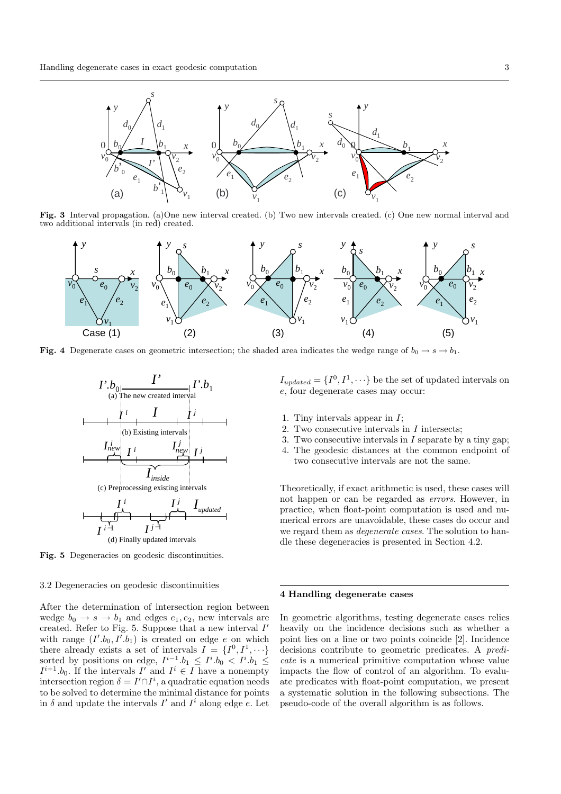

Fig. 3 Interval propagation. (a)One new interval created. (b) Two new intervals created. (c) One new normal interval and two additional intervals (in red) created.



Fig. 4 Degenerate cases on geometric intersection; the shaded area indicates the wedge range of  $b_0 \rightarrow s \rightarrow b_1$ .





Fig. 5 Degeneracies on geodesic discontinuities.

# 3.2 Degeneracies on geodesic discontinuities

After the determination of intersection region between wedge  $b_0 \rightarrow s \rightarrow b_1$  and edges  $e_1, e_2$ , new intervals are created. Refer to Fig. 5. Suppose that a new interval  $I'$ with range  $(I'.b_0, I'.b_1)$  is created on edge e on which there already exists a set of intervals  $I = \{I^0, I^1, \dots\}$ sorted by positions on edge,  $I^{i-1}.b_1 \leq I^i.b_0 < I^i.b_1 \leq$  $I^{i+1}.b_0$ . If the intervals  $I'$  and  $I^i \in I$  have a nonempty intersection region  $\delta = I' \cap I^i$ , a quadratic equation needs to be solved to determine the minimal distance for points in  $\delta$  and update the intervals  $I'$  and  $I^i$  along edge e. Let  $I_{updated} = \{I^0, I^1, \cdots\}$  be the set of updated intervals on e, four degenerate cases may occur:

- 1. Tiny intervals appear in I;
- 2. Two consecutive intervals in I intersects;
- 3. Two consecutive intervals in  $I$  separate by a tiny gap;
- 4. The geodesic distances at the common endpoint of two consecutive intervals are not the same.

Theoretically, if exact arithmetic is used, these cases will not happen or can be regarded as errors. However, in practice, when float-point computation is used and numerical errors are unavoidable, these cases do occur and we regard them as degenerate cases. The solution to handle these degeneracies is presented in Section 4.2.

#### 4 Handling degenerate cases

In geometric algorithms, testing degenerate cases relies heavily on the incidence decisions such as whether a point lies on a line or two points coincide [2]. Incidence decisions contribute to geometric predicates. A predicate is a numerical primitive computation whose value impacts the flow of control of an algorithm. To evaluate predicates with float-point computation, we present a systematic solution in the following subsections. The pseudo-code of the overall algorithm is as follows.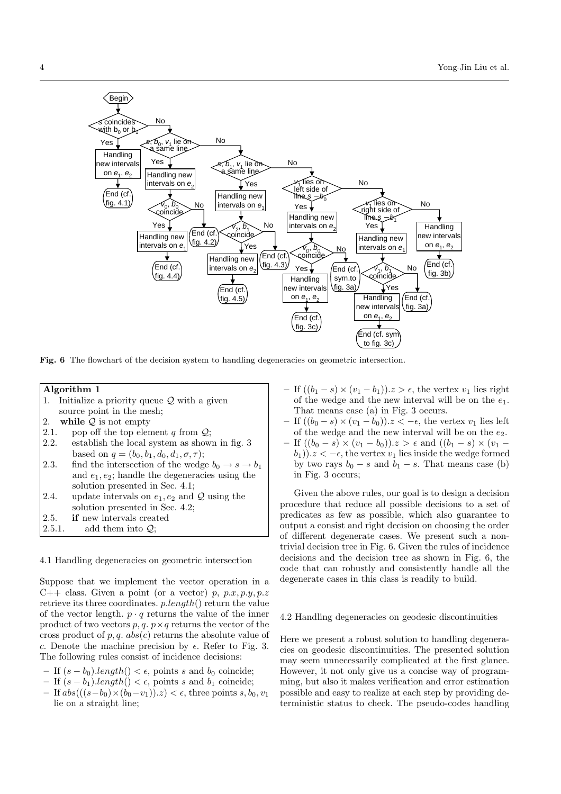

Fig. 6 The flowchart of the decision system to handling degeneracies on geometric intersection.

# Algorithm 1

- 1. Initialize a priority queue  $Q$  with a given
- source point in the mesh;
- 2. while  $Q$  is not empty
- 2.1. pop off the top element q from  $Q$ ;<br>2.2. establish the local system as show establish the local system as shown in fig. 3
- based on  $q = (b_0, b_1, d_0, d_1, \sigma, \tau);$
- 2.3. find the intersection of the wedge  $b_0 \rightarrow s \rightarrow b_1$ and  $e_1, e_2$ ; handle the degeneracies using the solution presented in Sec. 4.1;
- 2.4. update intervals on  $e_1, e_2$  and  $\mathcal Q$  using the solution presented in Sec. 4.2;
- 2.5. if new intervals created
- 2.5.1. add them into  $Q$ ;

4.1 Handling degeneracies on geometric intersection

Suppose that we implement the vector operation in a C++ class. Given a point (or a vector) p,  $p.x, p.y, p.z$ retrieve its three coordinates. p.length() return the value of the vector length.  $p \cdot q$  returns the value of the inner product of two vectors  $p, q, p \times q$  returns the vector of the cross product of p, q.  $abs(c)$  returns the absolute value of c. Denote the machine precision by  $\epsilon$ . Refer to Fig. 3. The following rules consist of incidence decisions:

- If  $(s b_0)$ .length() < ε, points s and b<sub>0</sub> coincide;
- If  $(s b_1)$ .length $() < \epsilon$ , points s and  $b_1$  coincide;
- If  $abs(((s-b<sub>0</sub>)×(b<sub>0</sub>-v<sub>1</sub>)).z) < ε$ , three points s, b<sub>0</sub>, v<sub>1</sub> lie on a straight line;
- If  $((b_1 s) \times (v_1 b_1))$ . $z > \epsilon$ , the vertex  $v_1$  lies right of the wedge and the new interval will be on the  $e_1$ . That means case (a) in Fig. 3 occurs.
- If  $((b_0 s) \times (v_1 b_0))$ .  $z < -\epsilon$ , the vertex  $v_1$  lies left of the wedge and the new interval will be on the  $e_2$ .
- If  $((b<sub>0</sub> s) × (v<sub>1</sub> b<sub>0</sub>))$ .z > ε and  $((b<sub>1</sub> s) × (v<sub>1</sub> b<sub>0</sub>))$  $(b_1)$ ). $z < -\epsilon$ , the vertex  $v_1$  lies inside the wedge formed by two rays  $b_0 - s$  and  $b_1 - s$ . That means case (b) in Fig. 3 occurs;

Given the above rules, our goal is to design a decision procedure that reduce all possible decisions to a set of predicates as few as possible, which also guarantee to output a consist and right decision on choosing the order of different degenerate cases. We present such a nontrivial decision tree in Fig. 6. Given the rules of incidence decisions and the decision tree as shown in Fig. 6, the code that can robustly and consistently handle all the degenerate cases in this class is readily to build.

# 4.2 Handling degeneracies on geodesic discontinuities

Here we present a robust solution to handling degeneracies on geodesic discontinuities. The presented solution may seem unnecessarily complicated at the first glance. However, it not only give us a concise way of programming, but also it makes verification and error estimation possible and easy to realize at each step by providing deterministic status to check. The pseudo-codes handling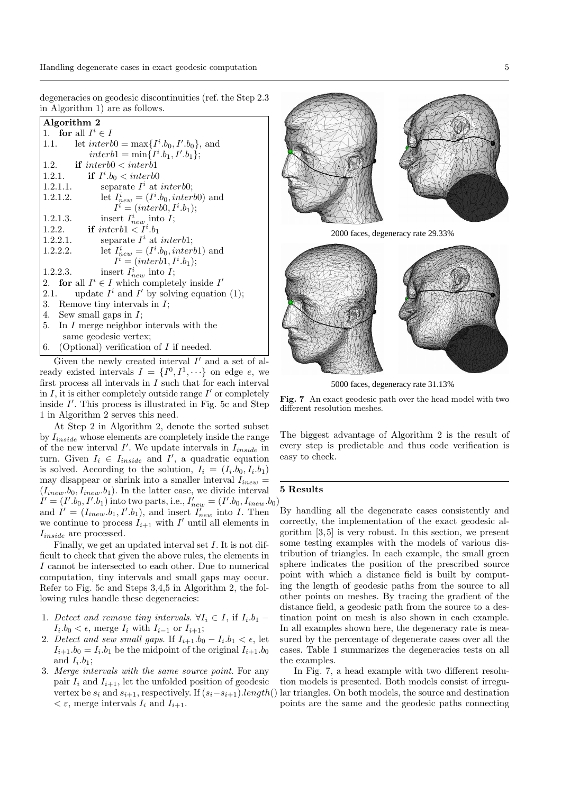degeneracies on geodesic discontinuities (ref. the Step 2.3 in Algorithm 1) are as follows.

| Algorithm 2                                            |  |  |  |  |
|--------------------------------------------------------|--|--|--|--|
| 1. for all $I^i \in I$                                 |  |  |  |  |
| let $interb0 = \max\{I^i.b_0, I', b_0\}$ , and<br>1.1. |  |  |  |  |
| $interb1 = \min\{I^i.b_1, I'.b_1\};$                   |  |  |  |  |
| <b>if</b> interb $0 \lt$ interb1<br>1.2.               |  |  |  |  |
| 1.2.1.<br><b>if</b> $I^i.b_0 \leq$ interb0             |  |  |  |  |
| separate $I^i$ at interb0;<br>1.2.1.1.                 |  |  |  |  |
| let $I_{new}^i = (I^i.b_0, interb0)$ and<br>1.2.1.2.   |  |  |  |  |
| $I^i = (interb0, I^i.b_1);$                            |  |  |  |  |
| insert $I_{new}^i$ into $I$ ;<br>1.2.1.3.              |  |  |  |  |
| 1.2.2.<br><b>if</b> interb1 $\lt Ii$ .b <sub>1</sub>   |  |  |  |  |
| separate $I^i$ at interb1;<br>1.2.2.1.                 |  |  |  |  |
| let $I_{new}^i = (I^i.b_0, interb1)$ and<br>1.2.2.2.   |  |  |  |  |
| $I^i = (interb1, I^i.b_1);$                            |  |  |  |  |
| insert $I_{new}^i$ into $I$ ;<br>1.2.2.3.              |  |  |  |  |
| 2. for all $I^i \in I$ which completely inside $I'$    |  |  |  |  |
| update $I^i$ and $I'$ by solving equation (1);<br>2.1. |  |  |  |  |
| 3. Remove tiny intervals in $I$ ;                      |  |  |  |  |
| 4. Sew small gaps in $I$ ;                             |  |  |  |  |
| 5. In $I$ merge neighbor intervals with the            |  |  |  |  |
| same geodesic vertex;                                  |  |  |  |  |
| (Optional) verification of $I$ if needed.<br>6.        |  |  |  |  |

Given the newly created interval  $I'$  and a set of already existed intervals  $I = \{I^0, I^1, \dots\}$  on edge e, we first process all intervals in  $I$  such that for each interval in  $I$ , it is either completely outside range  $I'$  or completely inside  $I'$ . This process is illustrated in Fig. 5c and Step 1 in Algorithm 2 serves this need.

At Step 2 in Algorithm 2, denote the sorted subset by  $I_{inside}$  whose elements are completely inside the range of the new interval  $I'$ . We update intervals in  $I_{inside}$  in turn. Given  $I_i \in I_{inside}$  and  $I'$ , a quadratic equation is solved. According to the solution,  $I_i = (I_i.b_0, I_i.b_1)$ may disappear or shrink into a smaller interval  $I_{inew}$  =  $(I_{inew}.b_0, I_{inew}.b_1)$ . In the latter case, we divide interval  $I' = (I'.b_0, I'.b_1)$  into two parts, i.e.,  $I'_{new} = (I'.b_0, I_{inew}.b_0)$ and  $I' = (I_{inew}.b_1, I'.b_1)$ , and insert  $I'_{new}$  into I. Then we continue to process  $I_{i+1}$  with I' until all elements in  $I_{inside}$  are processed.

Finally, we get an updated interval set I. It is not difficult to check that given the above rules, the elements in I cannot be intersected to each other. Due to numerical computation, tiny intervals and small gaps may occur. Refer to Fig. 5c and Steps 3,4,5 in Algorithm 2, the following rules handle these degeneracies:

- 1. Detect and remove tiny intervals.  $\forall I_i \in I$ , if  $I_i \cdot b_1$   $I_i.b_0 < \epsilon$ , merge  $I_i$  with  $I_{i-1}$  or  $I_{i+1}$ ;
- 2. Detect and sew small gaps. If  $I_{i+1}.b_0 I_i.b_1 < \epsilon$ , let  $I_{i+1}.b_0 = I_i.b_1$  be the midpoint of the original  $I_{i+1}.b_0$ and  $I_i.b_1;$
- 3. Merge intervals with the same source point. For any pair  $I_i$  and  $I_{i+1}$ , let the unfolded position of geodesic  $\lt \varepsilon$ , merge intervals  $I_i$  and  $I_{i+1}$ .



2000 faces, degeneracy rate 29.33%



5000 faces, degeneracy rate 31.13%



The biggest advantage of Algorithm 2 is the result of every step is predictable and thus code verification is easy to check.

# 5 Results

By handling all the degenerate cases consistently and correctly, the implementation of the exact geodesic algorithm [3, 5] is very robust. In this section, we present some testing examples with the models of various distribution of triangles. In each example, the small green sphere indicates the position of the prescribed source point with which a distance field is built by computing the length of geodesic paths from the source to all other points on meshes. By tracing the gradient of the distance field, a geodesic path from the source to a destination point on mesh is also shown in each example. In all examples shown here, the degeneracy rate is measured by the percentage of degenerate cases over all the cases. Table 1 summarizes the degeneracies tests on all the examples.

vertex be  $s_i$  and  $s_{i+1}$ , respectively. If  $(s_i-s_{i+1})$ .length() lar triangles. On both models, the source and destination In Fig. 7, a head example with two different resolution models is presented. Both models consist of irregupoints are the same and the geodesic paths connecting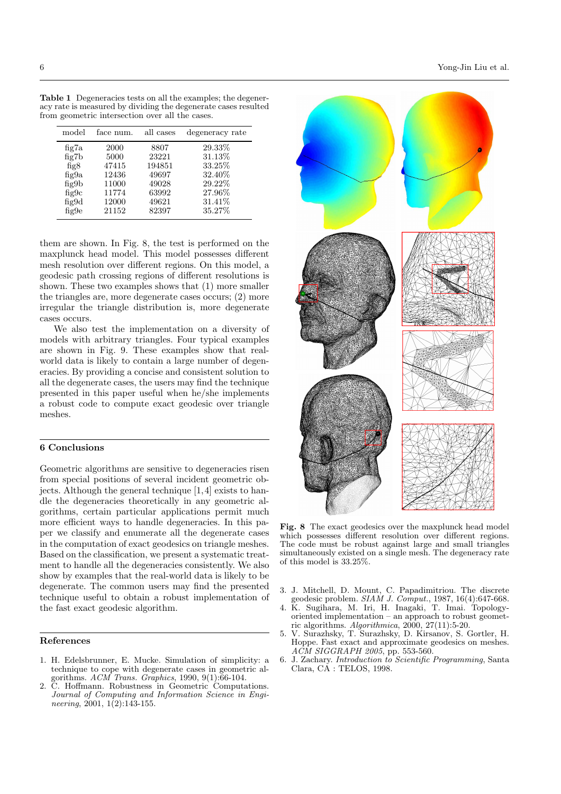| <b>Table 1</b> Degeneracies tests on all the examples; the degener- |
|---------------------------------------------------------------------|
| acy rate is measured by dividing the degenerate cases resulted      |
| from geometric intersection over all the cases.                     |

| model                                             | face num.                                                 | all cases                                                   | degeneracy rate                                                    |
|---------------------------------------------------|-----------------------------------------------------------|-------------------------------------------------------------|--------------------------------------------------------------------|
| fig7a<br>fig7b<br>fig8<br>fig9a<br>fig9b<br>fig9c | 2000<br>5000<br>47415<br>12436<br>11000<br>11774<br>12000 | 8807<br>23221<br>194851<br>49697<br>49028<br>63992<br>49621 | 29.33%<br>31.13%<br>33.25%<br>32.40%<br>29.22%<br>27.96%<br>31.41% |
| fig9d<br>fig9e                                    | 21152                                                     | 82397                                                       | 35.27%                                                             |

them are shown. In Fig. 8, the test is performed on the maxplunck head model. This model possesses different mesh resolution over different regions. On this model, a geodesic path crossing regions of different resolutions is shown. These two examples shows that (1) more smaller the triangles are, more degenerate cases occurs; (2) more irregular the triangle distribution is, more degenerate cases occurs.

We also test the implementation on a diversity of models with arbitrary triangles. Four typical examples are shown in Fig. 9. These examples show that realworld data is likely to contain a large number of degeneracies. By providing a concise and consistent solution to all the degenerate cases, the users may find the technique presented in this paper useful when he/she implements a robust code to compute exact geodesic over triangle meshes.

## 6 Conclusions

Geometric algorithms are sensitive to degeneracies risen from special positions of several incident geometric objects. Although the general technique [1, 4] exists to handle the degeneracies theoretically in any geometric algorithms, certain particular applications permit much more efficient ways to handle degeneracies. In this paper we classify and enumerate all the degenerate cases in the computation of exact geodesics on triangle meshes. Based on the classification, we present a systematic treatment to handle all the degeneracies consistently. We also show by examples that the real-world data is likely to be degenerate. The common users may find the presented technique useful to obtain a robust implementation of the fast exact geodesic algorithm.

#### References

- 1. H. Edelsbrunner, E. Mucke. Simulation of simplicity: a technique to cope with degenerate cases in geometric algorithms.  $ACM$  Trans. Graphics, 1990, 9(1):66-104.
- 2. C. Hoffmann. Robustness in Geometric Computations. Journal of Computing and Information Science in Engineering, 2001,  $1(2):143-155$ .



Fig. 8 The exact geodesics over the maxplunck head model which possesses different resolution over different regions. The code must be robust against large and small triangles simultaneously existed on a single mesh. The degeneracy rate of this model is 33.25%.

- 3. J. Mitchell, D. Mount, C. Papadimitriou. The discrete geodesic problem.  $SIAM J. Comput.$ , 1987, 16(4):647-668.
- 4. K. Sugihara, M. Iri, H. Inagaki, T. Imai. Topologyoriented implementation – an approach to robust geometric algorithms.  $Algorithmica$ ,  $2000$ ,  $27(11):5-20$ .
- 5. V. Surazhsky, T. Surazhsky, D. Kirsanov, S. Gortler, H. Hoppe. Fast exact and approximate geodesics on meshes. ACM SIGGRAPH 2005, pp. 553-560.
- 6. J. Zachary. Introduction to Scientific Programming, Santa Clara, CA : TELOS, 1998.